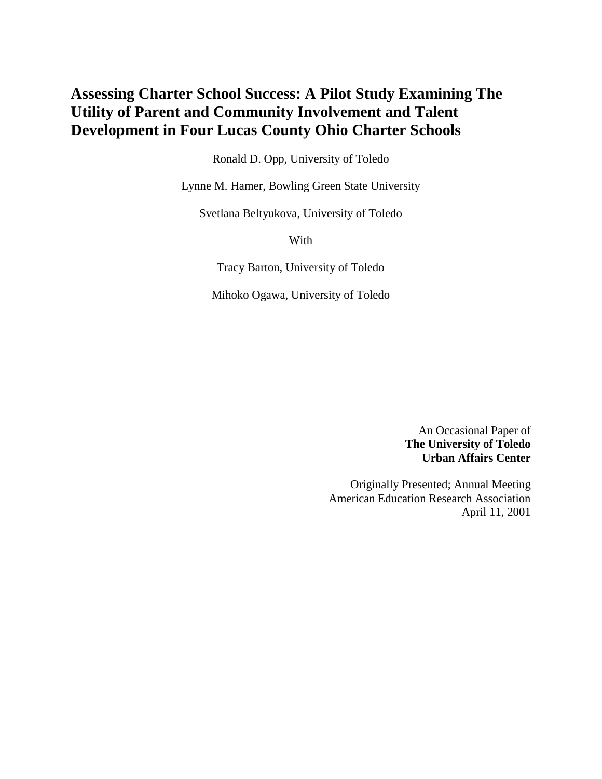# **Assessing Charter School Success: A Pilot Study Examining The Utility of Parent and Community Involvement and Talent Development in Four Lucas County Ohio Charter Schools**

Ronald D. Opp, University of Toledo

Lynne M. Hamer, Bowling Green State University

Svetlana Beltyukova, University of Toledo

With

Tracy Barton, University of Toledo

Mihoko Ogawa, University of Toledo

An Occasional Paper of **The University of Toledo Urban Affairs Center**

Originally Presented; Annual Meeting American Education Research Association April 11, 2001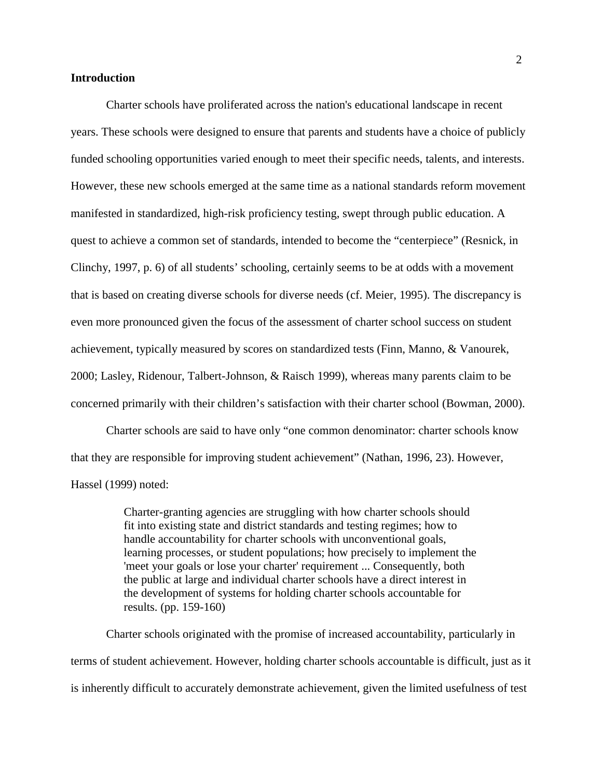### **Introduction**

Charter schools have proliferated across the nation's educational landscape in recent years. These schools were designed to ensure that parents and students have a choice of publicly funded schooling opportunities varied enough to meet their specific needs, talents, and interests. However, these new schools emerged at the same time as a national standards reform movement manifested in standardized, high-risk proficiency testing, swept through public education. A quest to achieve a common set of standards, intended to become the "centerpiece" (Resnick, in Clinchy, 1997, p. 6) of all students' schooling, certainly seems to be at odds with a movement that is based on creating diverse schools for diverse needs (cf. Meier, 1995). The discrepancy is even more pronounced given the focus of the assessment of charter school success on student achievement, typically measured by scores on standardized tests (Finn, Manno, & Vanourek, 2000; Lasley, Ridenour, Talbert-Johnson, & Raisch 1999), whereas many parents claim to be concerned primarily with their children's satisfaction with their charter school (Bowman, 2000).

Charter schools are said to have only "one common denominator: charter schools know that they are responsible for improving student achievement" (Nathan, 1996, 23). However, Hassel (1999) noted:

> Charter-granting agencies are struggling with how charter schools should fit into existing state and district standards and testing regimes; how to handle accountability for charter schools with unconventional goals, learning processes, or student populations; how precisely to implement the 'meet your goals or lose your charter' requirement ... Consequently, both the public at large and individual charter schools have a direct interest in the development of systems for holding charter schools accountable for results. (pp. 159-160)

Charter schools originated with the promise of increased accountability, particularly in terms of student achievement. However, holding charter schools accountable is difficult, just as it is inherently difficult to accurately demonstrate achievement, given the limited usefulness of test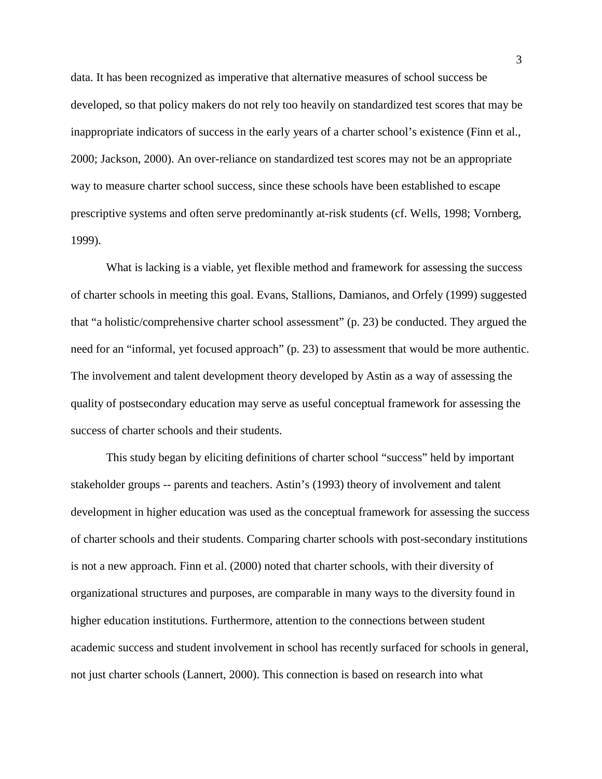data. It has been recognized as imperative that alternative measures of school success be developed, so that policy makers do not rely too heavily on standardized test scores that may be inappropriate indicators of success in the early years of a charter school's existence (Finn et al., 2000; Jackson, 2000). An over-reliance on standardized test scores may not be an appropriate way to measure charter school success, since these schools have been established to escape prescriptive systems and often serve predominantly at-risk students (cf. Wells, 1998; Vornberg, 1999).

What is lacking is a viable, yet flexible method and framework for assessing the success of charter schools in meeting this goal. Evans, Stallions, Damianos, and Orfely (1999) suggested that "a holistic/comprehensive charter school assessment" (p. 23) be conducted. They argued the need for an "informal, yet focused approach" (p. 23) to assessment that would be more authentic. The involvement and talent development theory developed by Astin as a way of assessing the quality of postsecondary education may serve as useful conceptual framework for assessing the success of charter schools and their students.

This study began by eliciting definitions of charter school "success" held by important stakeholder groups -- parents and teachers. Astin's (1993) theory of involvement and talent development in higher education was used as the conceptual framework for assessing the success of charter schools and their students. Comparing charter schools with post-secondary institutions is not a new approach. Finn et al. (2000) noted that charter schools, with their diversity of organizational structures and purposes, are comparable in many ways to the diversity found in higher education institutions. Furthermore, attention to the connections between student academic success and student involvement in school has recently surfaced for schools in general, not just charter schools (Lannert, 2000). This connection is based on research into what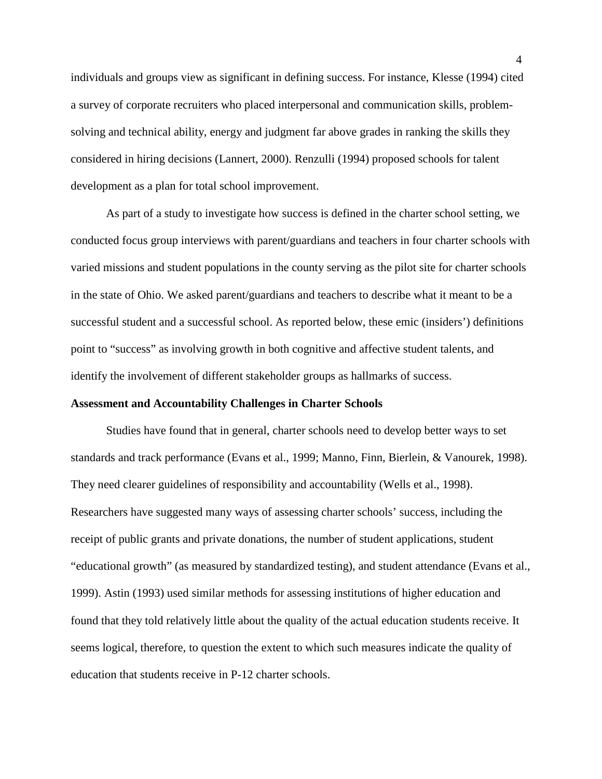individuals and groups view as significant in defining success. For instance, Klesse (1994) cited a survey of corporate recruiters who placed interpersonal and communication skills, problemsolving and technical ability, energy and judgment far above grades in ranking the skills they considered in hiring decisions (Lannert, 2000). Renzulli (1994) proposed schools for talent development as a plan for total school improvement.

As part of a study to investigate how success is defined in the charter school setting, we conducted focus group interviews with parent/guardians and teachers in four charter schools with varied missions and student populations in the county serving as the pilot site for charter schools in the state of Ohio. We asked parent/guardians and teachers to describe what it meant to be a successful student and a successful school. As reported below, these emic (insiders') definitions point to "success" as involving growth in both cognitive and affective student talents, and identify the involvement of different stakeholder groups as hallmarks of success.

#### **Assessment and Accountability Challenges in Charter Schools**

Studies have found that in general, charter schools need to develop better ways to set standards and track performance (Evans et al., 1999; Manno, Finn, Bierlein, & Vanourek, 1998). They need clearer guidelines of responsibility and accountability (Wells et al., 1998). Researchers have suggested many ways of assessing charter schools' success, including the receipt of public grants and private donations, the number of student applications, student "educational growth" (as measured by standardized testing), and student attendance (Evans et al., 1999). Astin (1993) used similar methods for assessing institutions of higher education and found that they told relatively little about the quality of the actual education students receive. It seems logical, therefore, to question the extent to which such measures indicate the quality of education that students receive in P-12 charter schools.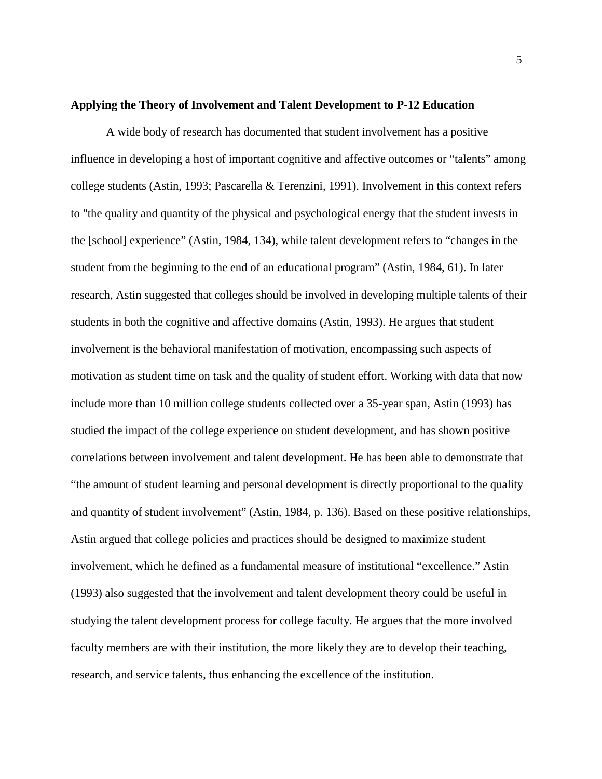### **Applying the Theory of Involvement and Talent Development to P-12 Education**

A wide body of research has documented that student involvement has a positive influence in developing a host of important cognitive and affective outcomes or "talents" among college students (Astin, 1993; Pascarella & Terenzini, 1991). Involvement in this context refers to "the quality and quantity of the physical and psychological energy that the student invests in the [school] experience" (Astin, 1984, 134), while talent development refers to "changes in the student from the beginning to the end of an educational program" (Astin, 1984, 61). In later research, Astin suggested that colleges should be involved in developing multiple talents of their students in both the cognitive and affective domains (Astin, 1993). He argues that student involvement is the behavioral manifestation of motivation, encompassing such aspects of motivation as student time on task and the quality of student effort. Working with data that now include more than 10 million college students collected over a 35-year span, Astin (1993) has studied the impact of the college experience on student development, and has shown positive correlations between involvement and talent development. He has been able to demonstrate that "the amount of student learning and personal development is directly proportional to the quality and quantity of student involvement" (Astin, 1984, p. 136). Based on these positive relationships, Astin argued that college policies and practices should be designed to maximize student involvement, which he defined as a fundamental measure of institutional "excellence." Astin (1993) also suggested that the involvement and talent development theory could be useful in studying the talent development process for college faculty. He argues that the more involved faculty members are with their institution, the more likely they are to develop their teaching, research, and service talents, thus enhancing the excellence of the institution.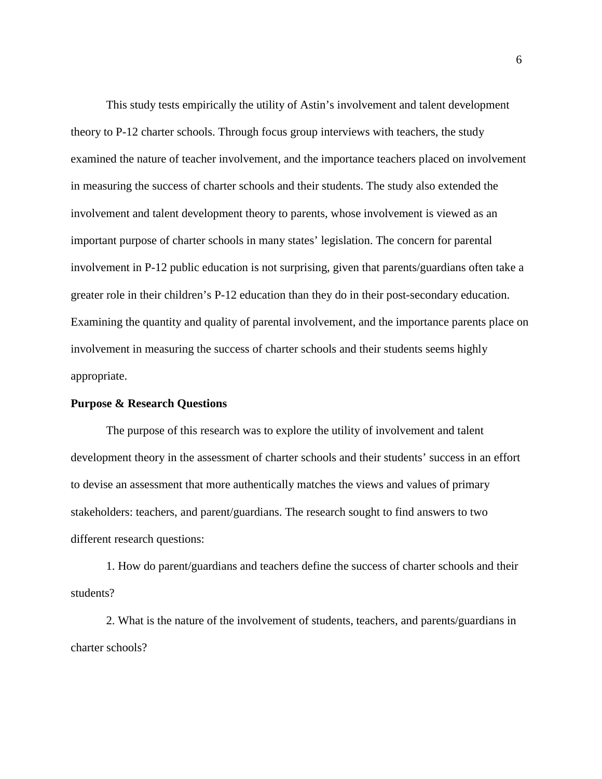This study tests empirically the utility of Astin's involvement and talent development theory to P-12 charter schools. Through focus group interviews with teachers, the study examined the nature of teacher involvement, and the importance teachers placed on involvement in measuring the success of charter schools and their students. The study also extended the involvement and talent development theory to parents, whose involvement is viewed as an important purpose of charter schools in many states' legislation. The concern for parental involvement in P-12 public education is not surprising, given that parents/guardians often take a greater role in their children's P-12 education than they do in their post-secondary education. Examining the quantity and quality of parental involvement, and the importance parents place on involvement in measuring the success of charter schools and their students seems highly appropriate.

### **Purpose & Research Questions**

The purpose of this research was to explore the utility of involvement and talent development theory in the assessment of charter schools and their students' success in an effort to devise an assessment that more authentically matches the views and values of primary stakeholders: teachers, and parent/guardians. The research sought to find answers to two different research questions:

1. How do parent/guardians and teachers define the success of charter schools and their students?

2. What is the nature of the involvement of students, teachers, and parents/guardians in charter schools?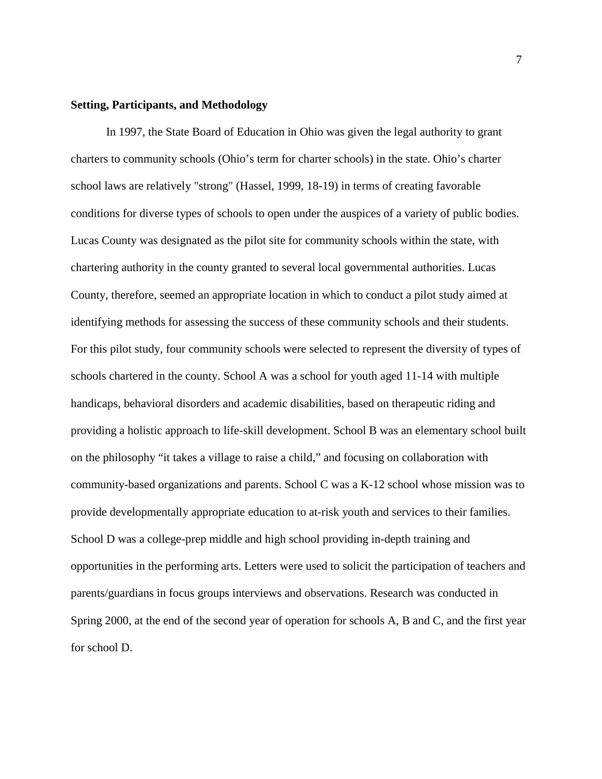### **Setting, Participants, and Methodology**

In 1997, the State Board of Education in Ohio was given the legal authority to grant charters to community schools (Ohio's term for charter schools) in the state. Ohio's charter school laws are relatively "strong" (Hassel, 1999, 18-19) in terms of creating favorable conditions for diverse types of schools to open under the auspices of a variety of public bodies. Lucas County was designated as the pilot site for community schools within the state, with chartering authority in the county granted to several local governmental authorities. Lucas County, therefore, seemed an appropriate location in which to conduct a pilot study aimed at identifying methods for assessing the success of these community schools and their students. For this pilot study, four community schools were selected to represent the diversity of types of schools chartered in the county. School A was a school for youth aged 11-14 with multiple handicaps, behavioral disorders and academic disabilities, based on therapeutic riding and providing a holistic approach to life-skill development. School B was an elementary school built on the philosophy "it takes a village to raise a child," and focusing on collaboration with community-based organizations and parents. School C was a K-12 school whose mission was to provide developmentally appropriate education to at-risk youth and services to their families. School D was a college-prep middle and high school providing in-depth training and opportunities in the performing arts. Letters were used to solicit the participation of teachers and parents/guardians in focus groups interviews and observations. Research was conducted in Spring 2000, at the end of the second year of operation for schools A, B and C, and the first year for school D.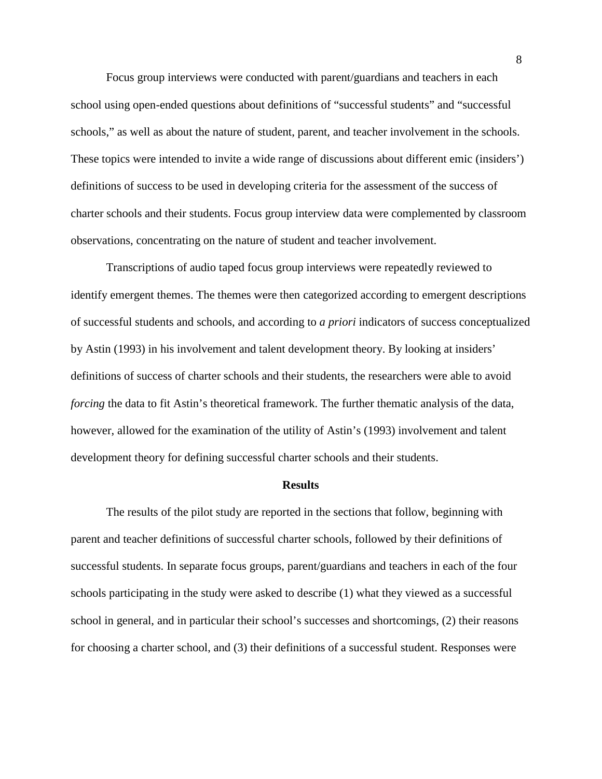Focus group interviews were conducted with parent/guardians and teachers in each school using open-ended questions about definitions of "successful students" and "successful schools," as well as about the nature of student, parent, and teacher involvement in the schools. These topics were intended to invite a wide range of discussions about different emic (insiders') definitions of success to be used in developing criteria for the assessment of the success of charter schools and their students. Focus group interview data were complemented by classroom observations, concentrating on the nature of student and teacher involvement.

Transcriptions of audio taped focus group interviews were repeatedly reviewed to identify emergent themes. The themes were then categorized according to emergent descriptions of successful students and schools, and according to *a priori* indicators of success conceptualized by Astin (1993) in his involvement and talent development theory. By looking at insiders' definitions of success of charter schools and their students, the researchers were able to avoid *forcing* the data to fit Astin's theoretical framework. The further thematic analysis of the data, however, allowed for the examination of the utility of Astin's (1993) involvement and talent development theory for defining successful charter schools and their students.

#### **Results**

The results of the pilot study are reported in the sections that follow, beginning with parent and teacher definitions of successful charter schools, followed by their definitions of successful students. In separate focus groups, parent/guardians and teachers in each of the four schools participating in the study were asked to describe (1) what they viewed as a successful school in general, and in particular their school's successes and shortcomings, (2) their reasons for choosing a charter school, and (3) their definitions of a successful student. Responses were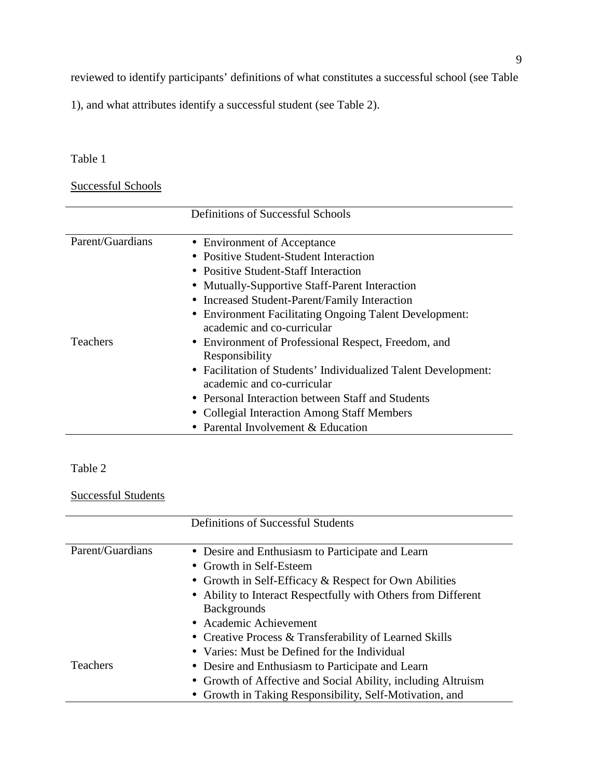reviewed to identify participants' definitions of what constitutes a successful school (see Table

1), and what attributes identify a successful student (see Table 2).

## Table 1

# Successful Schools

|                  | Definitions of Successful Schools                                                                                                                                                                                          |
|------------------|----------------------------------------------------------------------------------------------------------------------------------------------------------------------------------------------------------------------------|
| Parent/Guardians | • Environment of Acceptance<br>• Positive Student-Student Interaction<br>• Positive Student-Staff Interaction                                                                                                              |
|                  | • Mutually-Supportive Staff-Parent Interaction<br>• Increased Student-Parent/Family Interaction<br>• Environment Facilitating Ongoing Talent Development:<br>academic and co-curricular                                    |
| <b>Teachers</b>  | • Environment of Professional Respect, Freedom, and<br>Responsibility<br>• Facilitation of Students' Individualized Talent Development:<br>academic and co-curricular<br>• Personal Interaction between Staff and Students |
|                  | • Collegial Interaction Among Staff Members<br>• Parental Involvement & Education                                                                                                                                          |

### Table 2

### Successful Students

|                  | <b>Definitions of Successful Students</b>                     |
|------------------|---------------------------------------------------------------|
| Parent/Guardians | • Desire and Enthusiasm to Participate and Learn              |
|                  | • Growth in Self-Esteem                                       |
|                  | • Growth in Self-Efficacy $&$ Respect for Own Abilities       |
|                  | • Ability to Interact Respectfully with Others from Different |
|                  | <b>Backgrounds</b>                                            |
|                  | • Academic Achievement                                        |
|                  | • Creative Process & Transferability of Learned Skills        |
|                  | • Varies: Must be Defined for the Individual                  |
| <b>Teachers</b>  | • Desire and Enthusiasm to Participate and Learn              |
|                  | • Growth of Affective and Social Ability, including Altruism  |
|                  | • Growth in Taking Responsibility, Self-Motivation, and       |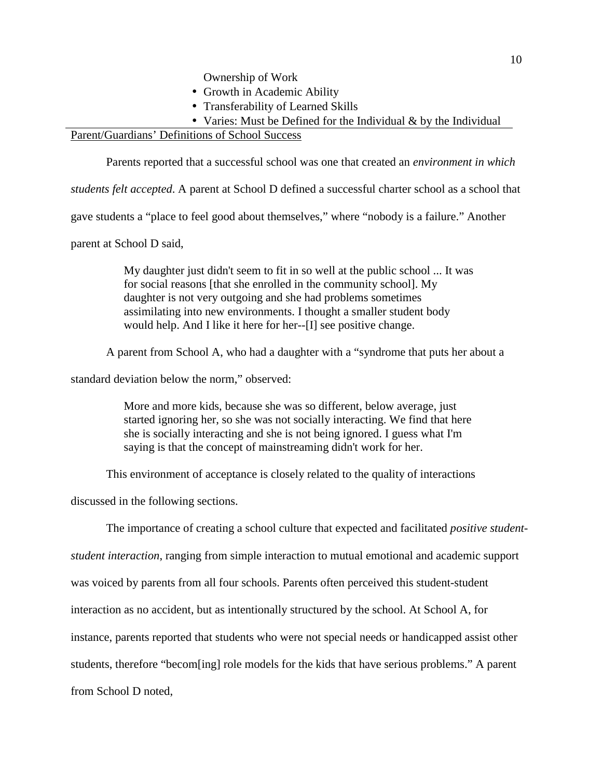Ownership of Work

- Growth in Academic Ability
- Transferability of Learned Skills
- Varies: Must be Defined for the Individual & by the Individual

### Parent/Guardians' Definitions of School Success

Parents reported that a successful school was one that created an *environment in which*

*students felt accepted*. A parent at School D defined a successful charter school as a school that

gave students a "place to feel good about themselves," where "nobody is a failure." Another

parent at School D said,

My daughter just didn't seem to fit in so well at the public school ... It was for social reasons [that she enrolled in the community school]. My daughter is not very outgoing and she had problems sometimes assimilating into new environments. I thought a smaller student body would help. And I like it here for her--[I] see positive change.

A parent from School A, who had a daughter with a "syndrome that puts her about a

standard deviation below the norm," observed:

More and more kids, because she was so different, below average, just started ignoring her, so she was not socially interacting. We find that here she is socially interacting and she is not being ignored. I guess what I'm saying is that the concept of mainstreaming didn't work for her.

This environment of acceptance is closely related to the quality of interactions

discussed in the following sections.

The importance of creating a school culture that expected and facilitated *positive student-*

*student interaction*, ranging from simple interaction to mutual emotional and academic support

was voiced by parents from all four schools. Parents often perceived this student-student

interaction as no accident, but as intentionally structured by the school. At School A, for

instance, parents reported that students who were not special needs or handicapped assist other

students, therefore "becom[ing] role models for the kids that have serious problems." A parent

from School D noted,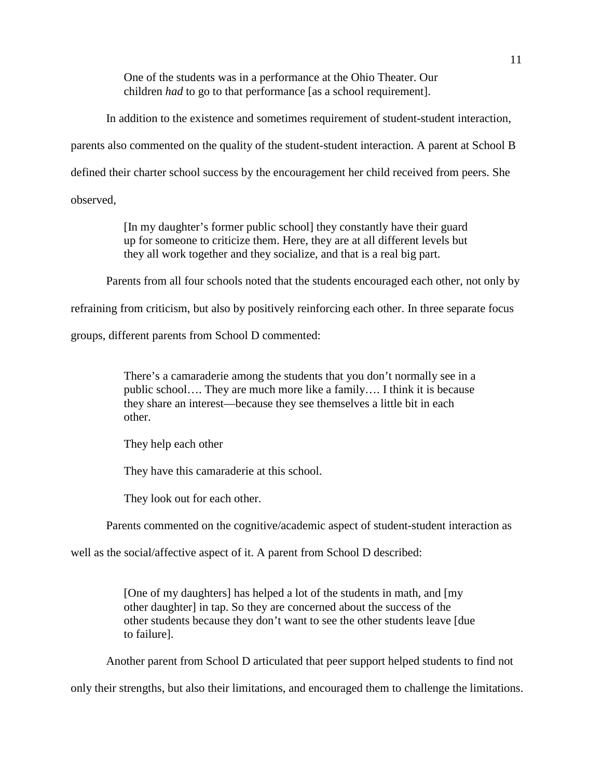One of the students was in a performance at the Ohio Theater. Our children *had* to go to that performance [as a school requirement].

In addition to the existence and sometimes requirement of student-student interaction,

parents also commented on the quality of the student-student interaction. A parent at School B

defined their charter school success by the encouragement her child received from peers. She

observed,

[In my daughter's former public school] they constantly have their guard up for someone to criticize them. Here, they are at all different levels but they all work together and they socialize, and that is a real big part.

Parents from all four schools noted that the students encouraged each other, not only by

refraining from criticism, but also by positively reinforcing each other. In three separate focus

groups, different parents from School D commented:

There's a camaraderie among the students that you don't normally see in a public school…. They are much more like a family…. I think it is because they share an interest—because they see themselves a little bit in each other.

They help each other

They have this camaraderie at this school.

They look out for each other.

Parents commented on the cognitive/academic aspect of student-student interaction as

well as the social/affective aspect of it. A parent from School D described:

[One of my daughters] has helped a lot of the students in math, and [my other daughter] in tap. So they are concerned about the success of the other students because they don't want to see the other students leave [due to failure].

Another parent from School D articulated that peer support helped students to find not

only their strengths, but also their limitations, and encouraged them to challenge the limitations.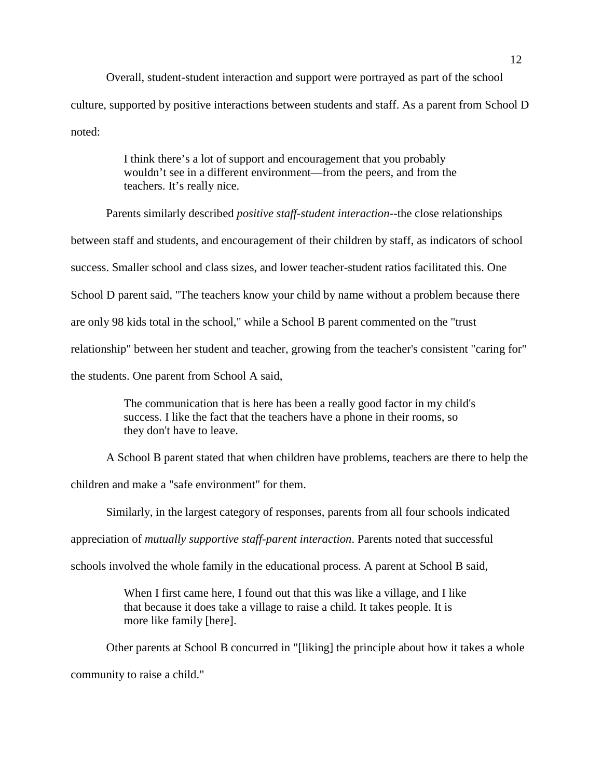Overall, student-student interaction and support were portrayed as part of the school culture, supported by positive interactions between students and staff. As a parent from School D noted:

> I think there's a lot of support and encouragement that you probably wouldn't see in a different environment—from the peers, and from the teachers. It's really nice.

Parents similarly described *positive staff-student interaction*--the close relationships between staff and students, and encouragement of their children by staff, as indicators of school success. Smaller school and class sizes, and lower teacher-student ratios facilitated this. One School D parent said, "The teachers know your child by name without a problem because there are only 98 kids total in the school," while a School B parent commented on the "trust relationship" between her student and teacher, growing from the teacher's consistent "caring for" the students. One parent from School A said,

> The communication that is here has been a really good factor in my child's success. I like the fact that the teachers have a phone in their rooms, so they don't have to leave.

A School B parent stated that when children have problems, teachers are there to help the

children and make a "safe environment" for them.

Similarly, in the largest category of responses, parents from all four schools indicated

appreciation of *mutually supportive staff-parent interaction*. Parents noted that successful

schools involved the whole family in the educational process. A parent at School B said,

When I first came here, I found out that this was like a village, and I like that because it does take a village to raise a child. It takes people. It is more like family [here].

Other parents at School B concurred in "[liking] the principle about how it takes a whole community to raise a child."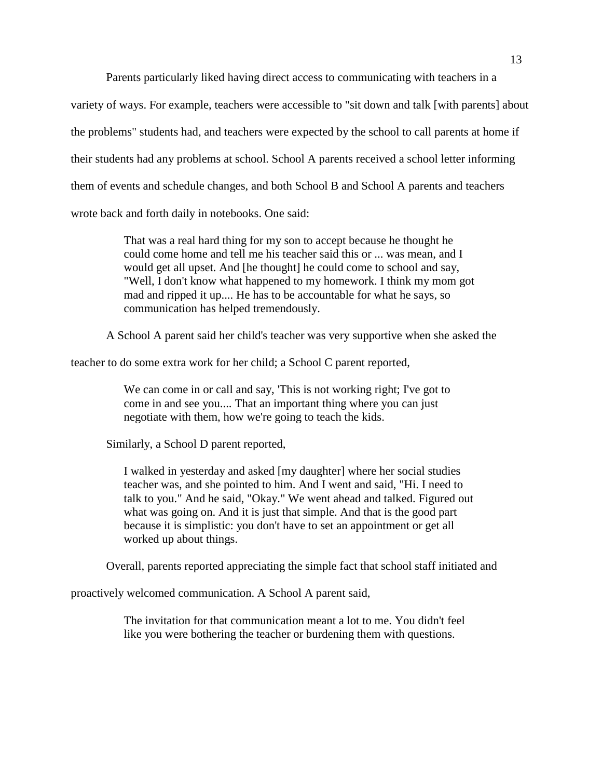Parents particularly liked having direct access to communicating with teachers in a variety of ways. For example, teachers were accessible to "sit down and talk [with parents] about the problems" students had, and teachers were expected by the school to call parents at home if their students had any problems at school. School A parents received a school letter informing them of events and schedule changes, and both School B and School A parents and teachers wrote back and forth daily in notebooks. One said:

> That was a real hard thing for my son to accept because he thought he could come home and tell me his teacher said this or ... was mean, and I would get all upset. And [he thought] he could come to school and say, "Well, I don't know what happened to my homework. I think my mom got mad and ripped it up.... He has to be accountable for what he says, so communication has helped tremendously.

A School A parent said her child's teacher was very supportive when she asked the

teacher to do some extra work for her child; a School C parent reported,

We can come in or call and say, 'This is not working right; I've got to come in and see you.... That an important thing where you can just negotiate with them, how we're going to teach the kids.

Similarly, a School D parent reported,

I walked in yesterday and asked [my daughter] where her social studies teacher was, and she pointed to him. And I went and said, "Hi. I need to talk to you." And he said, "Okay." We went ahead and talked. Figured out what was going on. And it is just that simple. And that is the good part because it is simplistic: you don't have to set an appointment or get all worked up about things.

Overall, parents reported appreciating the simple fact that school staff initiated and

proactively welcomed communication. A School A parent said,

The invitation for that communication meant a lot to me. You didn't feel like you were bothering the teacher or burdening them with questions.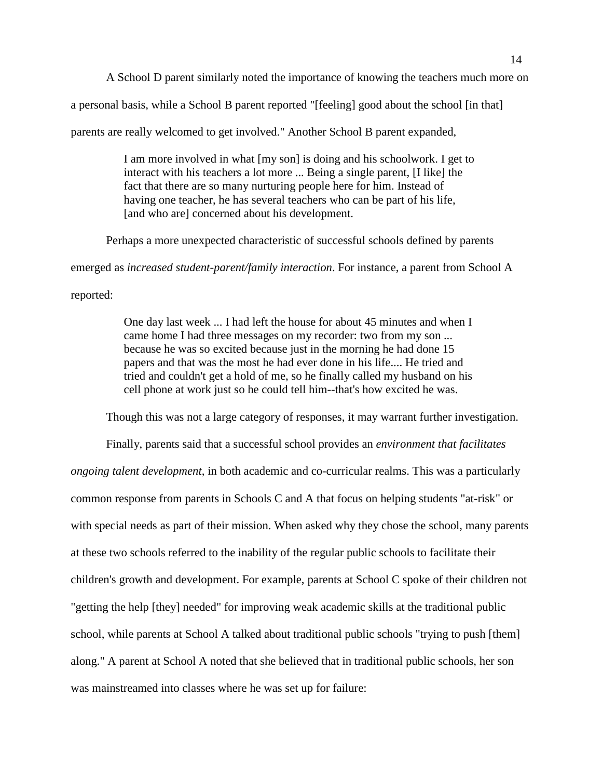A School D parent similarly noted the importance of knowing the teachers much more on

a personal basis, while a School B parent reported "[feeling] good about the school [in that]

parents are really welcomed to get involved." Another School B parent expanded,

I am more involved in what [my son] is doing and his schoolwork. I get to interact with his teachers a lot more ... Being a single parent, [I like] the fact that there are so many nurturing people here for him. Instead of having one teacher, he has several teachers who can be part of his life, [and who are] concerned about his development.

Perhaps a more unexpected characteristic of successful schools defined by parents

emerged as *increased student-parent/family interaction*. For instance, a parent from School A

reported:

One day last week ... I had left the house for about 45 minutes and when I came home I had three messages on my recorder: two from my son ... because he was so excited because just in the morning he had done 15 papers and that was the most he had ever done in his life.... He tried and tried and couldn't get a hold of me, so he finally called my husband on his cell phone at work just so he could tell him--that's how excited he was.

Though this was not a large category of responses, it may warrant further investigation.

Finally, parents said that a successful school provides an *environment that facilitates ongoing talent development*, in both academic and co-curricular realms. This was a particularly common response from parents in Schools C and A that focus on helping students "at-risk" or with special needs as part of their mission. When asked why they chose the school, many parents at these two schools referred to the inability of the regular public schools to facilitate their children's growth and development. For example, parents at School C spoke of their children not "getting the help [they] needed" for improving weak academic skills at the traditional public school, while parents at School A talked about traditional public schools "trying to push [them] along." A parent at School A noted that she believed that in traditional public schools, her son was mainstreamed into classes where he was set up for failure: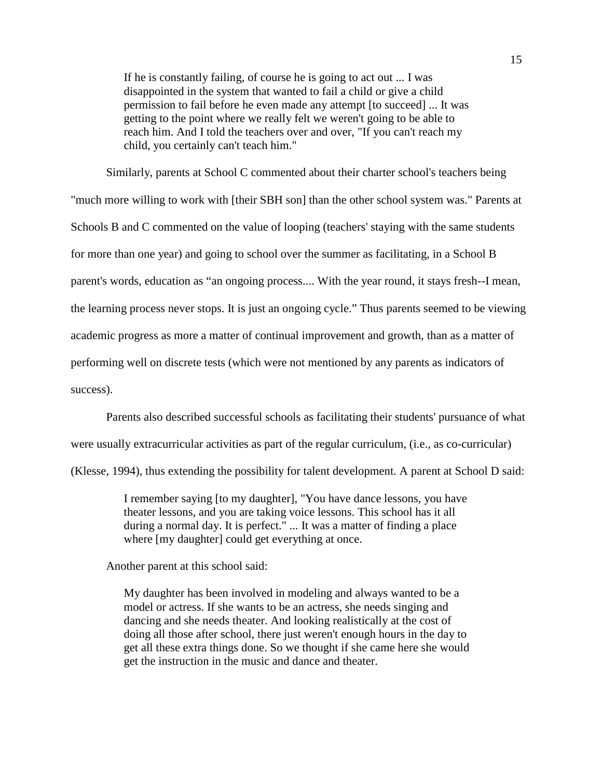If he is constantly failing, of course he is going to act out ... I was disappointed in the system that wanted to fail a child or give a child permission to fail before he even made any attempt [to succeed] ... It was getting to the point where we really felt we weren't going to be able to reach him. And I told the teachers over and over, "If you can't reach my child, you certainly can't teach him."

Similarly, parents at School C commented about their charter school's teachers being "much more willing to work with [their SBH son] than the other school system was." Parents at Schools B and C commented on the value of looping (teachers' staying with the same students for more than one year) and going to school over the summer as facilitating, in a School B parent's words, education as "an ongoing process.... With the year round, it stays fresh--I mean, the learning process never stops. It is just an ongoing cycle." Thus parents seemed to be viewing academic progress as more a matter of continual improvement and growth, than as a matter of performing well on discrete tests (which were not mentioned by any parents as indicators of success).

Parents also described successful schools as facilitating their students' pursuance of what

were usually extracurricular activities as part of the regular curriculum, (i.e., as co-curricular)

(Klesse, 1994), thus extending the possibility for talent development. A parent at School D said:

I remember saying [to my daughter], "You have dance lessons, you have theater lessons, and you are taking voice lessons. This school has it all during a normal day. It is perfect." ... It was a matter of finding a place where [my daughter] could get everything at once.

Another parent at this school said:

My daughter has been involved in modeling and always wanted to be a model or actress. If she wants to be an actress, she needs singing and dancing and she needs theater. And looking realistically at the cost of doing all those after school, there just weren't enough hours in the day to get all these extra things done. So we thought if she came here she would get the instruction in the music and dance and theater.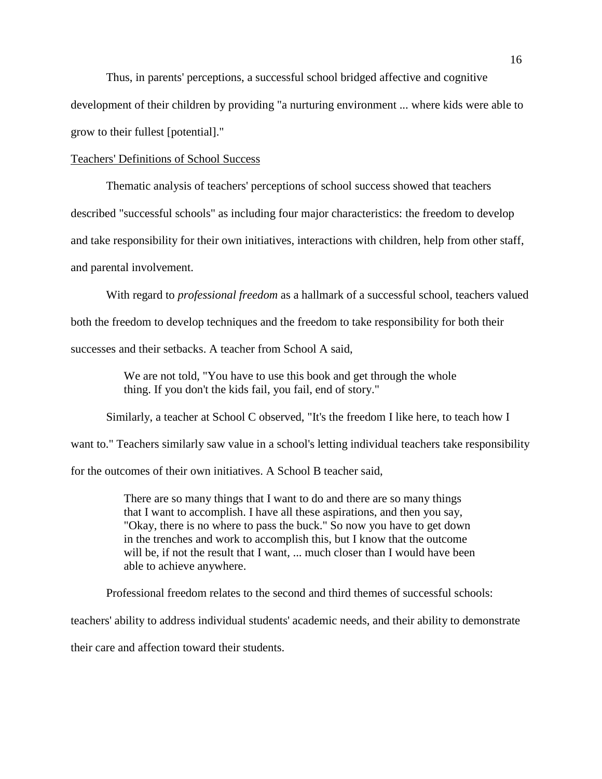Thus, in parents' perceptions, a successful school bridged affective and cognitive development of their children by providing "a nurturing environment ... where kids were able to grow to their fullest [potential]."

### Teachers' Definitions of School Success

Thematic analysis of teachers' perceptions of school success showed that teachers described "successful schools" as including four major characteristics: the freedom to develop and take responsibility for their own initiatives, interactions with children, help from other staff, and parental involvement.

With regard to *professional freedom* as a hallmark of a successful school, teachers valued both the freedom to develop techniques and the freedom to take responsibility for both their successes and their setbacks. A teacher from School A said,

> We are not told, "You have to use this book and get through the whole thing. If you don't the kids fail, you fail, end of story."

Similarly, a teacher at School C observed, "It's the freedom I like here, to teach how I

want to." Teachers similarly saw value in a school's letting individual teachers take responsibility

for the outcomes of their own initiatives. A School B teacher said,

There are so many things that I want to do and there are so many things that I want to accomplish. I have all these aspirations, and then you say, "Okay, there is no where to pass the buck." So now you have to get down in the trenches and work to accomplish this, but I know that the outcome will be, if not the result that I want, ... much closer than I would have been able to achieve anywhere.

Professional freedom relates to the second and third themes of successful schools:

teachers' ability to address individual students' academic needs, and their ability to demonstrate

their care and affection toward their students.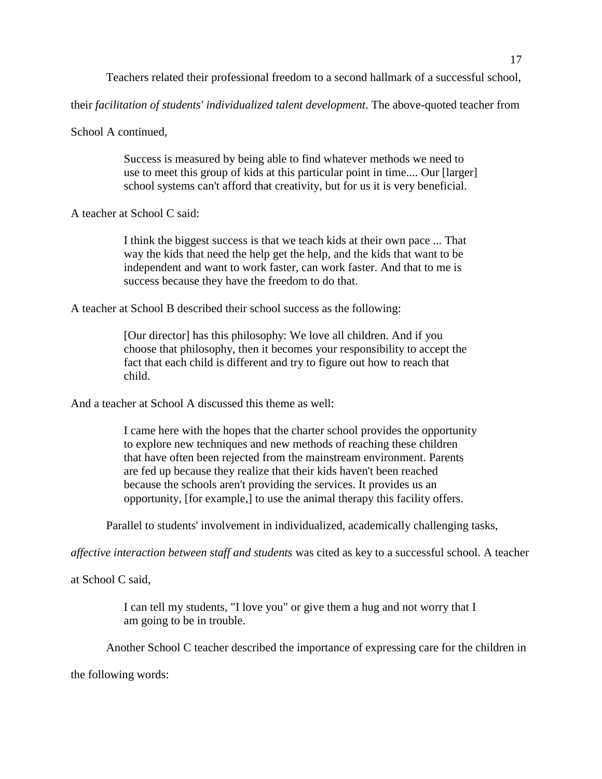Teachers related their professional freedom to a second hallmark of a successful school,

their *facilitation of students' individualized talent development*. The above-quoted teacher from

School A continued,

Success is measured by being able to find whatever methods we need to use to meet this group of kids at this particular point in time.... Our [larger] school systems can't afford that creativity, but for us it is very beneficial.

A teacher at School C said:

I think the biggest success is that we teach kids at their own pace ... That way the kids that need the help get the help, and the kids that want to be independent and want to work faster, can work faster. And that to me is success because they have the freedom to do that.

A teacher at School B described their school success as the following:

[Our director] has this philosophy: We love all children. And if you choose that philosophy, then it becomes your responsibility to accept the fact that each child is different and try to figure out how to reach that child.

And a teacher at School A discussed this theme as well:

I came here with the hopes that the charter school provides the opportunity to explore new techniques and new methods of reaching these children that have often been rejected from the mainstream environment. Parents are fed up because they realize that their kids haven't been reached because the schools aren't providing the services. It provides us an opportunity, [for example,] to use the animal therapy this facility offers.

Parallel to students' involvement in individualized, academically challenging tasks,

*affective interaction between staff and students* was cited as key to a successful school. A teacher

at School C said,

I can tell my students, "I love you" or give them a hug and not worry that I am going to be in trouble.

Another School C teacher described the importance of expressing care for the children in

the following words: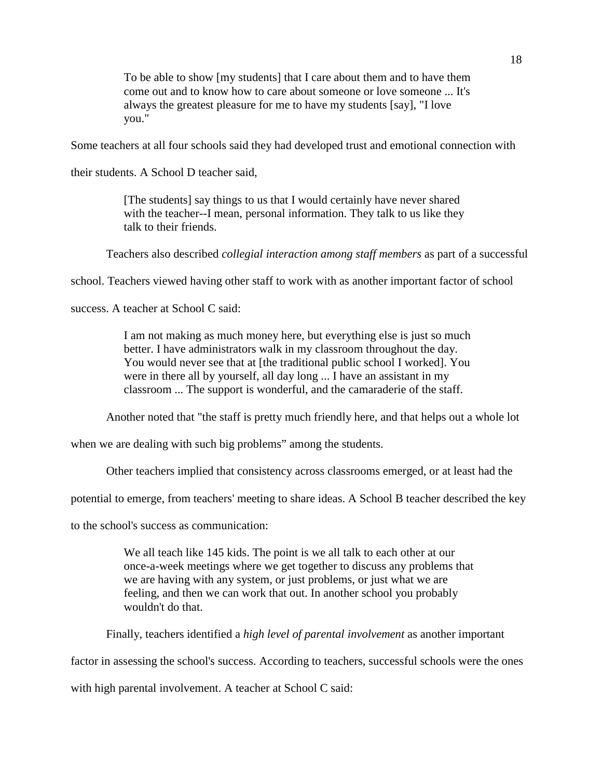To be able to show [my students] that I care about them and to have them come out and to know how to care about someone or love someone ... It's always the greatest pleasure for me to have my students [say], "I love you."

Some teachers at all four schools said they had developed trust and emotional connection with

their students. A School D teacher said,

[The students] say things to us that I would certainly have never shared with the teacher--I mean, personal information. They talk to us like they talk to their friends.

Teachers also described *collegial interaction among staff members* as part of a successful

school. Teachers viewed having other staff to work with as another important factor of school

success. A teacher at School C said:

I am not making as much money here, but everything else is just so much better. I have administrators walk in my classroom throughout the day. You would never see that at [the traditional public school I worked]. You were in there all by yourself, all day long ... I have an assistant in my classroom ... The support is wonderful, and the camaraderie of the staff.

Another noted that "the staff is pretty much friendly here, and that helps out a whole lot

when we are dealing with such big problems" among the students.

Other teachers implied that consistency across classrooms emerged, or at least had the

potential to emerge, from teachers' meeting to share ideas. A School B teacher described the key

to the school's success as communication:

We all teach like 145 kids. The point is we all talk to each other at our once-a-week meetings where we get together to discuss any problems that we are having with any system, or just problems, or just what we are feeling, and then we can work that out. In another school you probably wouldn't do that.

Finally, teachers identified a *high level of parental involvement* as another important

factor in assessing the school's success. According to teachers, successful schools were the ones

with high parental involvement. A teacher at School C said: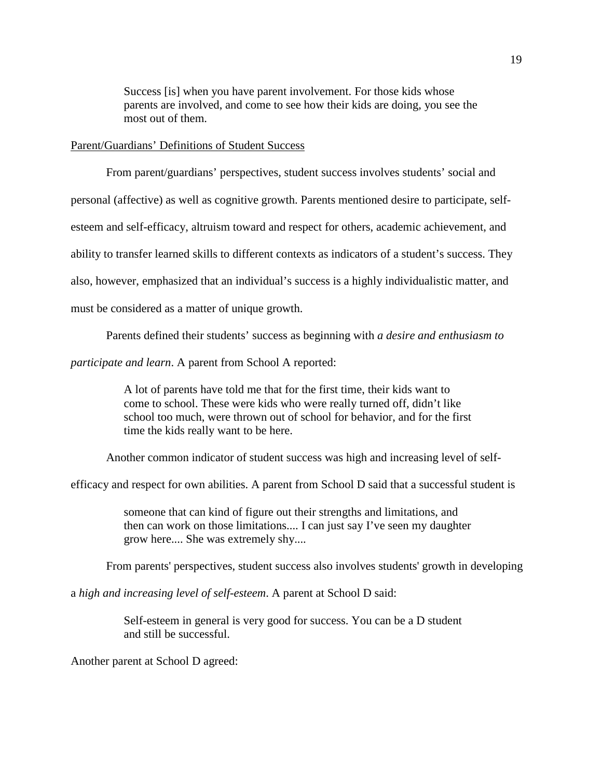Success [is] when you have parent involvement. For those kids whose parents are involved, and come to see how their kids are doing, you see the most out of them.

### Parent/Guardians' Definitions of Student Success

From parent/guardians' perspectives, student success involves students' social and personal (affective) as well as cognitive growth. Parents mentioned desire to participate, selfesteem and self-efficacy, altruism toward and respect for others, academic achievement, and ability to transfer learned skills to different contexts as indicators of a student's success. They also, however, emphasized that an individual's success is a highly individualistic matter, and must be considered as a matter of unique growth.

Parents defined their students' success as beginning with *a desire and enthusiasm to*

*participate and learn*. A parent from School A reported:

A lot of parents have told me that for the first time, their kids want to come to school. These were kids who were really turned off, didn't like school too much, were thrown out of school for behavior, and for the first time the kids really want to be here.

Another common indicator of student success was high and increasing level of self-

efficacy and respect for own abilities. A parent from School D said that a successful student is

someone that can kind of figure out their strengths and limitations, and then can work on those limitations.... I can just say I've seen my daughter grow here.... She was extremely shy....

From parents' perspectives, student success also involves students' growth in developing

a *high and increasing level of self-esteem*. A parent at School D said:

Self-esteem in general is very good for success. You can be a D student and still be successful.

Another parent at School D agreed: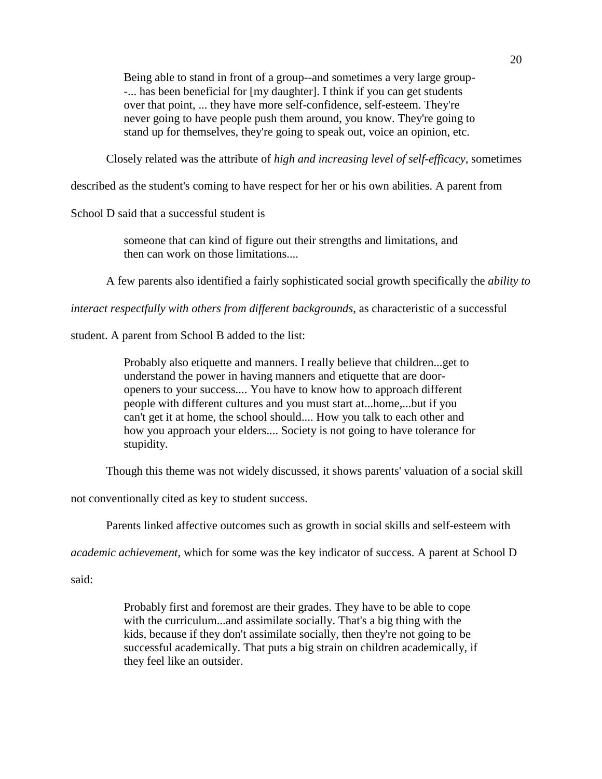Being able to stand in front of a group--and sometimes a very large group- -... has been beneficial for [my daughter]. I think if you can get students over that point, ... they have more self-confidence, self-esteem. They're never going to have people push them around, you know. They're going to stand up for themselves, they're going to speak out, voice an opinion, etc.

Closely related was the attribute of *high and increasing level of self-efficacy*, sometimes

described as the student's coming to have respect for her or his own abilities. A parent from

School D said that a successful student is

someone that can kind of figure out their strengths and limitations, and then can work on those limitations....

A few parents also identified a fairly sophisticated social growth specifically the *ability to*

*interact respectfully with others from different backgrounds*, as characteristic of a successful

student. A parent from School B added to the list:

Probably also etiquette and manners. I really believe that children...get to understand the power in having manners and etiquette that are dooropeners to your success.... You have to know how to approach different people with different cultures and you must start at...home,...but if you can't get it at home, the school should.... How you talk to each other and how you approach your elders.... Society is not going to have tolerance for stupidity.

Though this theme was not widely discussed, it shows parents' valuation of a social skill

not conventionally cited as key to student success.

Parents linked affective outcomes such as growth in social skills and self-esteem with

*academic achievement*, which for some was the key indicator of success. A parent at School D

said:

Probably first and foremost are their grades. They have to be able to cope with the curriculum...and assimilate socially. That's a big thing with the kids, because if they don't assimilate socially, then they're not going to be successful academically. That puts a big strain on children academically, if they feel like an outsider.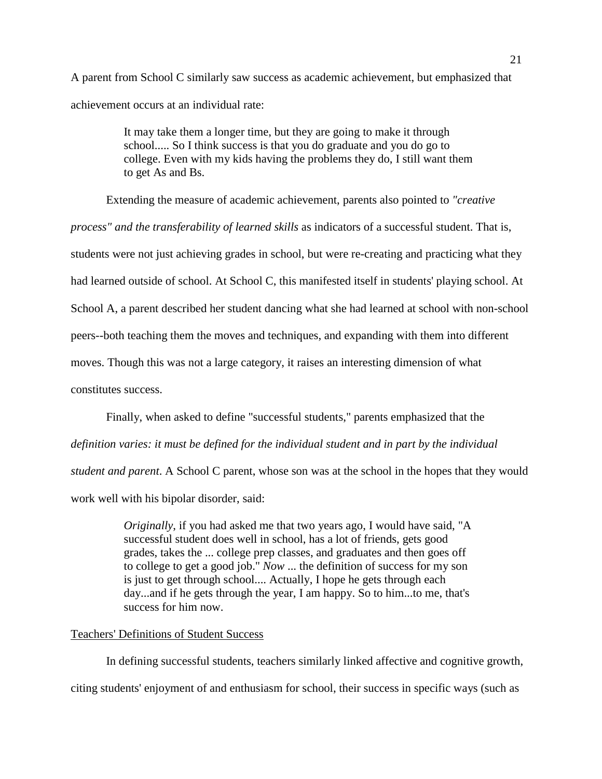A parent from School C similarly saw success as academic achievement, but emphasized that achievement occurs at an individual rate:

> It may take them a longer time, but they are going to make it through school..... So I think success is that you do graduate and you do go to college. Even with my kids having the problems they do, I still want them to get As and Bs.

Extending the measure of academic achievement, parents also pointed to *"creative process" and the transferability of learned skills* as indicators of a successful student. That is, students were not just achieving grades in school, but were re-creating and practicing what they had learned outside of school. At School C, this manifested itself in students' playing school. At School A, a parent described her student dancing what she had learned at school with non-school peers--both teaching them the moves and techniques, and expanding with them into different moves. Though this was not a large category, it raises an interesting dimension of what constitutes success.

Finally, when asked to define "successful students," parents emphasized that the *definition varies: it must be defined for the individual student and in part by the individual student and parent*. A School C parent, whose son was at the school in the hopes that they would work well with his bipolar disorder, said:

> *Originally*, if you had asked me that two years ago, I would have said, "A successful student does well in school, has a lot of friends, gets good grades, takes the ... college prep classes, and graduates and then goes off to college to get a good job." *Now* ... the definition of success for my son is just to get through school.... Actually, I hope he gets through each day...and if he gets through the year, I am happy. So to him...to me, that's success for him now.

### Teachers' Definitions of Student Success

In defining successful students, teachers similarly linked affective and cognitive growth, citing students' enjoyment of and enthusiasm for school, their success in specific ways (such as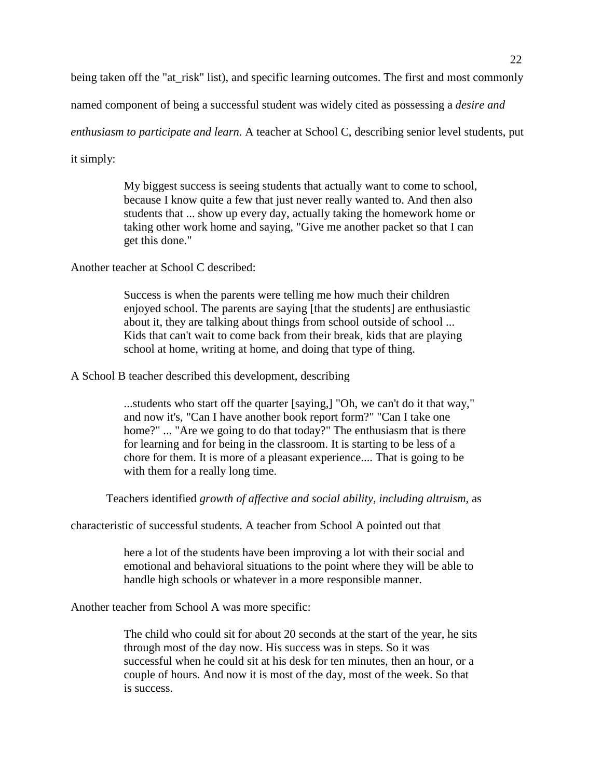being taken off the "at risk" list), and specific learning outcomes. The first and most commonly

named component of being a successful student was widely cited as possessing a *desire and*

*enthusiasm to participate and learn*. A teacher at School C, describing senior level students, put

it simply:

My biggest success is seeing students that actually want to come to school, because I know quite a few that just never really wanted to. And then also students that ... show up every day, actually taking the homework home or taking other work home and saying, "Give me another packet so that I can get this done."

Another teacher at School C described:

Success is when the parents were telling me how much their children enjoyed school. The parents are saying [that the students] are enthusiastic about it, they are talking about things from school outside of school ... Kids that can't wait to come back from their break, kids that are playing school at home, writing at home, and doing that type of thing.

A School B teacher described this development, describing

...students who start off the quarter [saying,] "Oh, we can't do it that way," and now it's, "Can I have another book report form?" "Can I take one home?" ... "Are we going to do that today?" The enthusiasm that is there for learning and for being in the classroom. It is starting to be less of a chore for them. It is more of a pleasant experience.... That is going to be with them for a really long time.

Teachers identified *growth of affective and social ability, including altruism*, as

characteristic of successful students. A teacher from School A pointed out that

here a lot of the students have been improving a lot with their social and emotional and behavioral situations to the point where they will be able to handle high schools or whatever in a more responsible manner.

Another teacher from School A was more specific:

The child who could sit for about 20 seconds at the start of the year, he sits through most of the day now. His success was in steps. So it was successful when he could sit at his desk for ten minutes, then an hour, or a couple of hours. And now it is most of the day, most of the week. So that is success.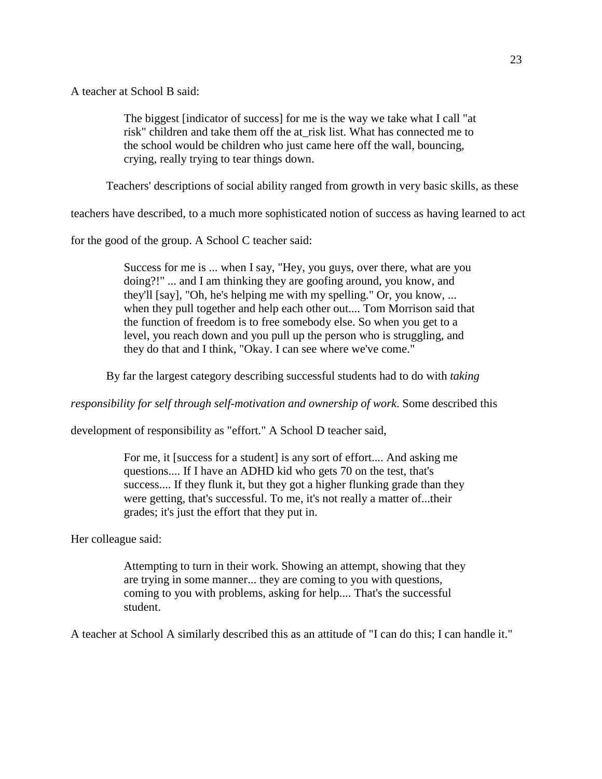A teacher at School B said:

The biggest [indicator of success] for me is the way we take what I call "at risk" children and take them off the at\_risk list. What has connected me to the school would be children who just came here off the wall, bouncing, crying, really trying to tear things down.

Teachers' descriptions of social ability ranged from growth in very basic skills, as these

teachers have described, to a much more sophisticated notion of success as having learned to act

for the good of the group. A School C teacher said:

Success for me is ... when I say, "Hey, you guys, over there, what are you doing?!" ... and I am thinking they are goofing around, you know, and they'll [say], "Oh, he's helping me with my spelling." Or, you know, ... when they pull together and help each other out.... Tom Morrison said that the function of freedom is to free somebody else. So when you get to a level, you reach down and you pull up the person who is struggling, and they do that and I think, "Okay. I can see where we've come."

By far the largest category describing successful students had to do with *taking*

*responsibility for self through self-motivation and ownership of work*. Some described this

development of responsibility as "effort." A School D teacher said,

For me, it [success for a student] is any sort of effort.... And asking me questions.... If I have an ADHD kid who gets 70 on the test, that's success.... If they flunk it, but they got a higher flunking grade than they were getting, that's successful. To me, it's not really a matter of...their grades; it's just the effort that they put in.

Her colleague said:

Attempting to turn in their work. Showing an attempt, showing that they are trying in some manner... they are coming to you with questions, coming to you with problems, asking for help.... That's the successful student.

A teacher at School A similarly described this as an attitude of "I can do this; I can handle it."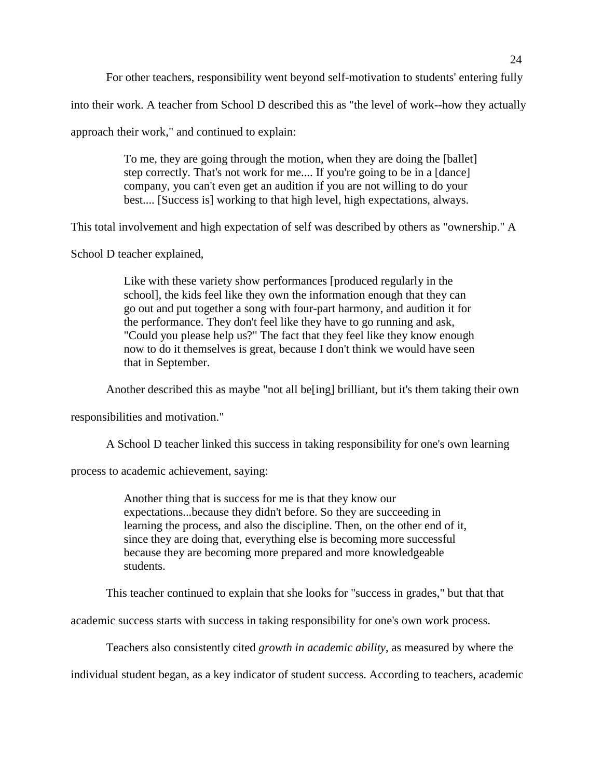For other teachers, responsibility went beyond self-motivation to students' entering fully

into their work. A teacher from School D described this as "the level of work--how they actually

approach their work," and continued to explain:

To me, they are going through the motion, when they are doing the [ballet] step correctly. That's not work for me.... If you're going to be in a [dance] company, you can't even get an audition if you are not willing to do your best.... [Success is] working to that high level, high expectations, always.

This total involvement and high expectation of self was described by others as "ownership." A

School D teacher explained,

Like with these variety show performances [produced regularly in the school], the kids feel like they own the information enough that they can go out and put together a song with four-part harmony, and audition it for the performance. They don't feel like they have to go running and ask, "Could you please help us?" The fact that they feel like they know enough now to do it themselves is great, because I don't think we would have seen that in September.

Another described this as maybe "not all be[ing] brilliant, but it's them taking their own

responsibilities and motivation."

A School D teacher linked this success in taking responsibility for one's own learning

process to academic achievement, saying:

Another thing that is success for me is that they know our expectations...because they didn't before. So they are succeeding in learning the process, and also the discipline. Then, on the other end of it, since they are doing that, everything else is becoming more successful because they are becoming more prepared and more knowledgeable students.

This teacher continued to explain that she looks for "success in grades," but that that

academic success starts with success in taking responsibility for one's own work process.

Teachers also consistently cited *growth in academic ability*, as measured by where the

individual student began, as a key indicator of student success. According to teachers, academic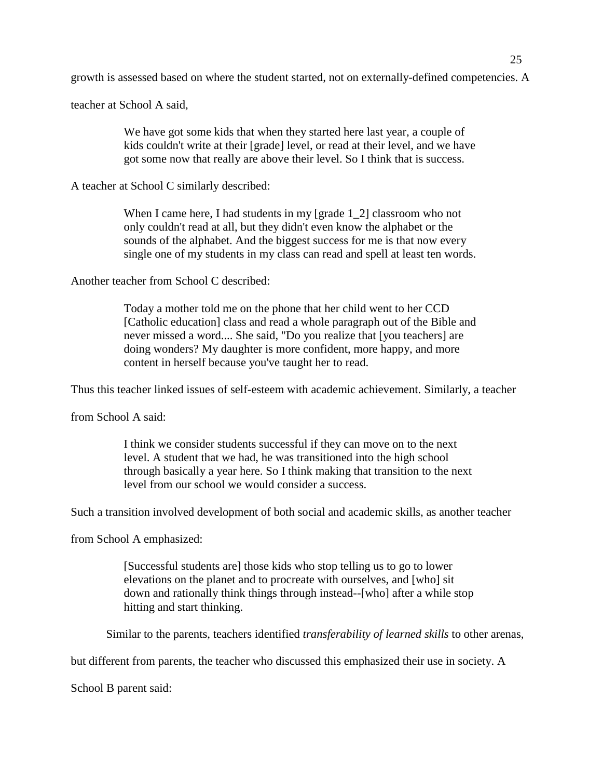growth is assessed based on where the student started, not on externally-defined competencies. A

teacher at School A said,

We have got some kids that when they started here last year, a couple of kids couldn't write at their [grade] level, or read at their level, and we have got some now that really are above their level. So I think that is success.

A teacher at School C similarly described:

When I came here, I had students in my [grade 1\_2] classroom who not only couldn't read at all, but they didn't even know the alphabet or the sounds of the alphabet. And the biggest success for me is that now every single one of my students in my class can read and spell at least ten words.

Another teacher from School C described:

Today a mother told me on the phone that her child went to her CCD [Catholic education] class and read a whole paragraph out of the Bible and never missed a word.... She said, "Do you realize that [you teachers] are doing wonders? My daughter is more confident, more happy, and more content in herself because you've taught her to read.

Thus this teacher linked issues of self-esteem with academic achievement. Similarly, a teacher

from School A said:

I think we consider students successful if they can move on to the next level. A student that we had, he was transitioned into the high school through basically a year here. So I think making that transition to the next level from our school we would consider a success.

Such a transition involved development of both social and academic skills, as another teacher

from School A emphasized:

[Successful students are] those kids who stop telling us to go to lower elevations on the planet and to procreate with ourselves, and [who] sit down and rationally think things through instead--[who] after a while stop hitting and start thinking.

Similar to the parents, teachers identified *transferability of learned skills* to other arenas,

but different from parents, the teacher who discussed this emphasized their use in society. A

School B parent said: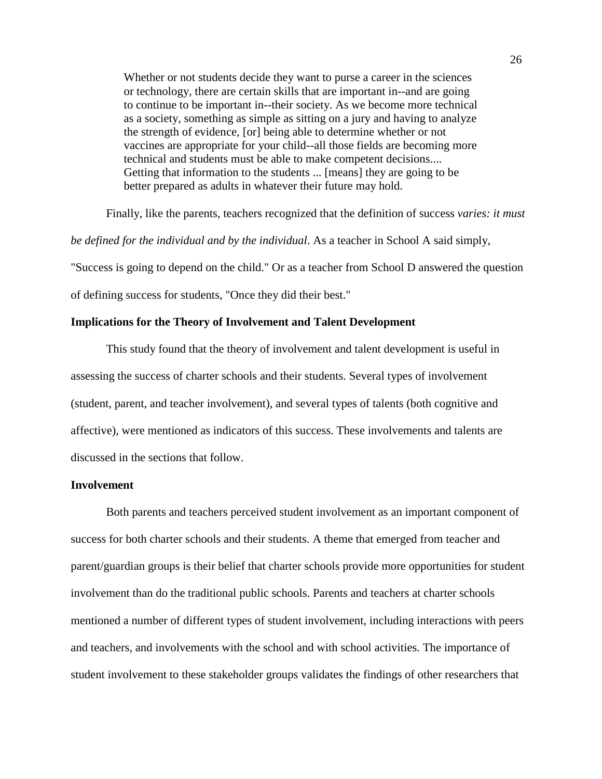Whether or not students decide they want to purse a career in the sciences or technology, there are certain skills that are important in--and are going to continue to be important in--their society. As we become more technical as a society, something as simple as sitting on a jury and having to analyze the strength of evidence, [or] being able to determine whether or not vaccines are appropriate for your child--all those fields are becoming more technical and students must be able to make competent decisions.... Getting that information to the students ... [means] they are going to be better prepared as adults in whatever their future may hold.

Finally, like the parents, teachers recognized that the definition of success *varies: it must*

*be defined for the individual and by the individual*. As a teacher in School A said simply,

"Success is going to depend on the child." Or as a teacher from School D answered the question

of defining success for students, "Once they did their best."

### **Implications for the Theory of Involvement and Talent Development**

This study found that the theory of involvement and talent development is useful in assessing the success of charter schools and their students. Several types of involvement (student, parent, and teacher involvement), and several types of talents (both cognitive and affective), were mentioned as indicators of this success. These involvements and talents are discussed in the sections that follow.

### **Involvement**

Both parents and teachers perceived student involvement as an important component of success for both charter schools and their students. A theme that emerged from teacher and parent/guardian groups is their belief that charter schools provide more opportunities for student involvement than do the traditional public schools. Parents and teachers at charter schools mentioned a number of different types of student involvement, including interactions with peers and teachers, and involvements with the school and with school activities. The importance of student involvement to these stakeholder groups validates the findings of other researchers that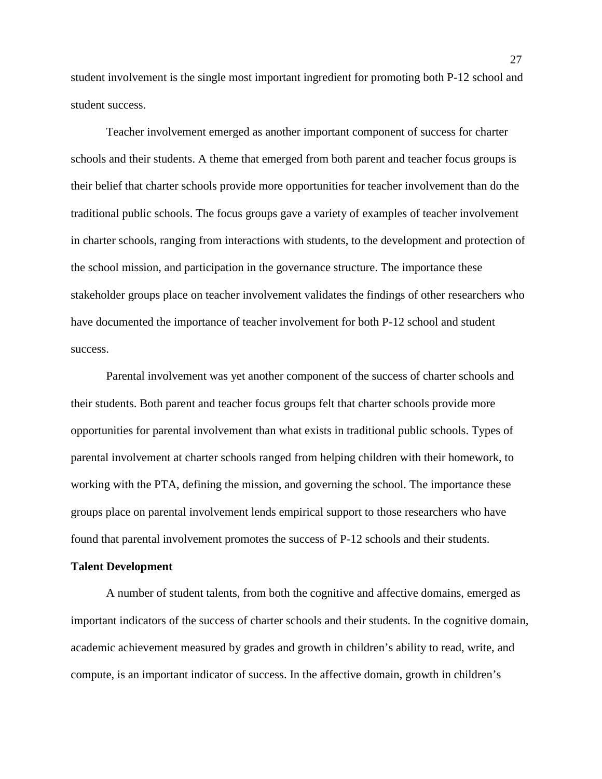student involvement is the single most important ingredient for promoting both P-12 school and student success.

Teacher involvement emerged as another important component of success for charter schools and their students. A theme that emerged from both parent and teacher focus groups is their belief that charter schools provide more opportunities for teacher involvement than do the traditional public schools. The focus groups gave a variety of examples of teacher involvement in charter schools, ranging from interactions with students, to the development and protection of the school mission, and participation in the governance structure. The importance these stakeholder groups place on teacher involvement validates the findings of other researchers who have documented the importance of teacher involvement for both P-12 school and student success.

Parental involvement was yet another component of the success of charter schools and their students. Both parent and teacher focus groups felt that charter schools provide more opportunities for parental involvement than what exists in traditional public schools. Types of parental involvement at charter schools ranged from helping children with their homework, to working with the PTA, defining the mission, and governing the school. The importance these groups place on parental involvement lends empirical support to those researchers who have found that parental involvement promotes the success of P-12 schools and their students.

### **Talent Development**

A number of student talents, from both the cognitive and affective domains, emerged as important indicators of the success of charter schools and their students. In the cognitive domain, academic achievement measured by grades and growth in children's ability to read, write, and compute, is an important indicator of success. In the affective domain, growth in children's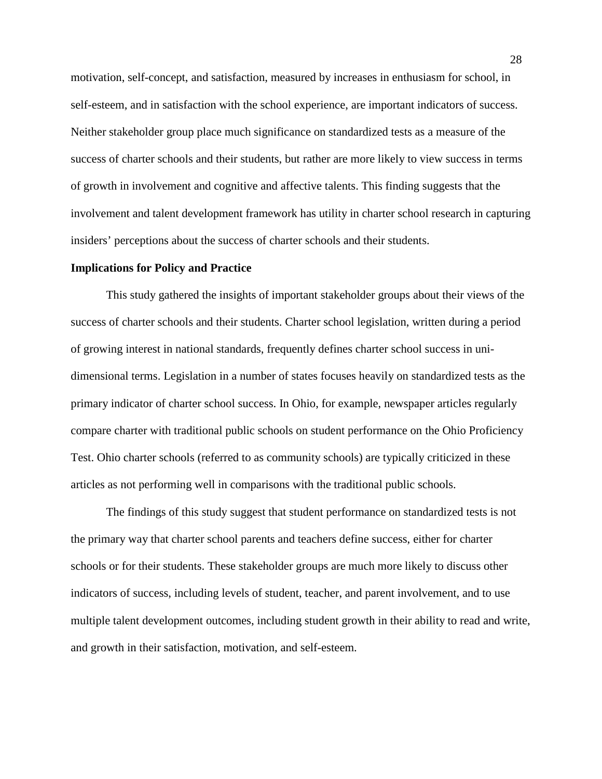motivation, self-concept, and satisfaction, measured by increases in enthusiasm for school, in self-esteem, and in satisfaction with the school experience, are important indicators of success. Neither stakeholder group place much significance on standardized tests as a measure of the success of charter schools and their students, but rather are more likely to view success in terms of growth in involvement and cognitive and affective talents. This finding suggests that the involvement and talent development framework has utility in charter school research in capturing insiders' perceptions about the success of charter schools and their students.

### **Implications for Policy and Practice**

This study gathered the insights of important stakeholder groups about their views of the success of charter schools and their students. Charter school legislation, written during a period of growing interest in national standards, frequently defines charter school success in unidimensional terms. Legislation in a number of states focuses heavily on standardized tests as the primary indicator of charter school success. In Ohio, for example, newspaper articles regularly compare charter with traditional public schools on student performance on the Ohio Proficiency Test. Ohio charter schools (referred to as community schools) are typically criticized in these articles as not performing well in comparisons with the traditional public schools.

The findings of this study suggest that student performance on standardized tests is not the primary way that charter school parents and teachers define success, either for charter schools or for their students. These stakeholder groups are much more likely to discuss other indicators of success, including levels of student, teacher, and parent involvement, and to use multiple talent development outcomes, including student growth in their ability to read and write, and growth in their satisfaction, motivation, and self-esteem.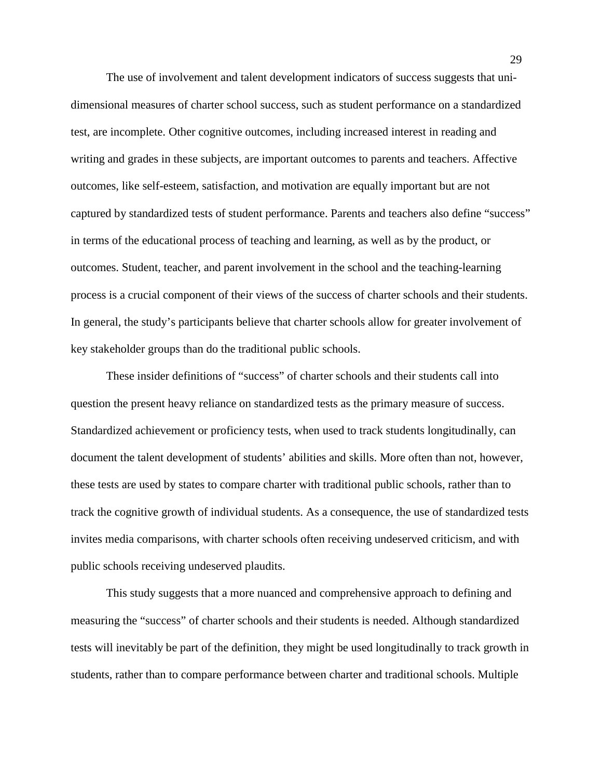The use of involvement and talent development indicators of success suggests that unidimensional measures of charter school success, such as student performance on a standardized test, are incomplete. Other cognitive outcomes, including increased interest in reading and writing and grades in these subjects, are important outcomes to parents and teachers. Affective outcomes, like self-esteem, satisfaction, and motivation are equally important but are not captured by standardized tests of student performance. Parents and teachers also define "success" in terms of the educational process of teaching and learning, as well as by the product, or outcomes. Student, teacher, and parent involvement in the school and the teaching-learning process is a crucial component of their views of the success of charter schools and their students. In general, the study's participants believe that charter schools allow for greater involvement of key stakeholder groups than do the traditional public schools.

These insider definitions of "success" of charter schools and their students call into question the present heavy reliance on standardized tests as the primary measure of success. Standardized achievement or proficiency tests, when used to track students longitudinally, can document the talent development of students' abilities and skills. More often than not, however, these tests are used by states to compare charter with traditional public schools, rather than to track the cognitive growth of individual students. As a consequence, the use of standardized tests invites media comparisons, with charter schools often receiving undeserved criticism, and with public schools receiving undeserved plaudits.

This study suggests that a more nuanced and comprehensive approach to defining and measuring the "success" of charter schools and their students is needed. Although standardized tests will inevitably be part of the definition, they might be used longitudinally to track growth in students, rather than to compare performance between charter and traditional schools. Multiple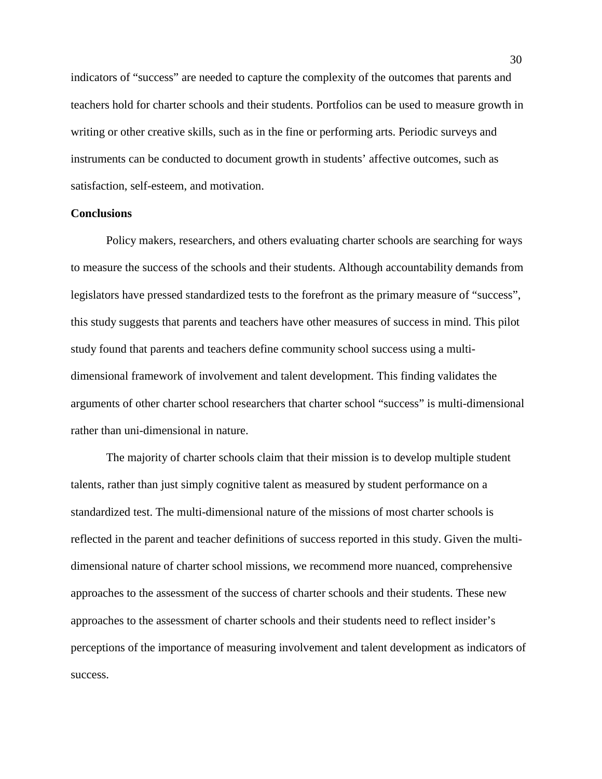indicators of "success" are needed to capture the complexity of the outcomes that parents and teachers hold for charter schools and their students. Portfolios can be used to measure growth in writing or other creative skills, such as in the fine or performing arts. Periodic surveys and instruments can be conducted to document growth in students' affective outcomes, such as satisfaction, self-esteem, and motivation.

### **Conclusions**

Policy makers, researchers, and others evaluating charter schools are searching for ways to measure the success of the schools and their students. Although accountability demands from legislators have pressed standardized tests to the forefront as the primary measure of "success", this study suggests that parents and teachers have other measures of success in mind. This pilot study found that parents and teachers define community school success using a multidimensional framework of involvement and talent development. This finding validates the arguments of other charter school researchers that charter school "success" is multi-dimensional rather than uni-dimensional in nature.

The majority of charter schools claim that their mission is to develop multiple student talents, rather than just simply cognitive talent as measured by student performance on a standardized test. The multi-dimensional nature of the missions of most charter schools is reflected in the parent and teacher definitions of success reported in this study. Given the multidimensional nature of charter school missions, we recommend more nuanced, comprehensive approaches to the assessment of the success of charter schools and their students. These new approaches to the assessment of charter schools and their students need to reflect insider's perceptions of the importance of measuring involvement and talent development as indicators of success.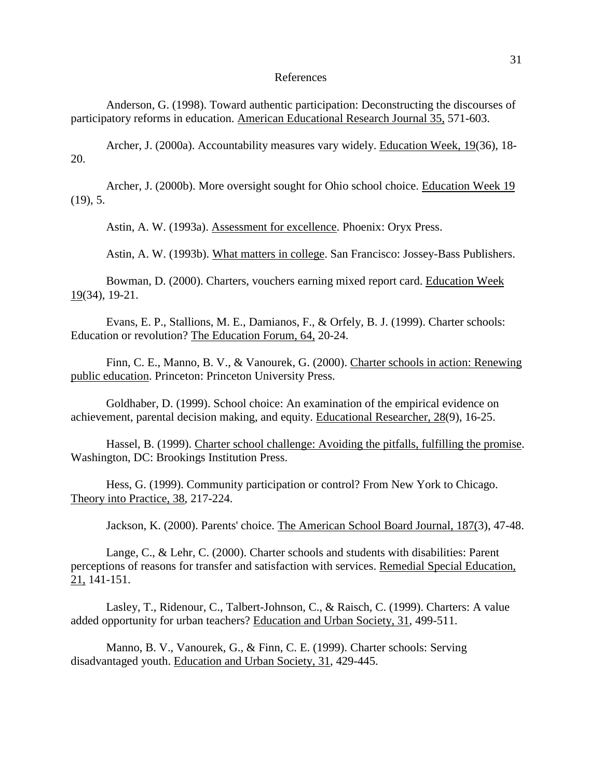#### References

Anderson, G. (1998). Toward authentic participation: Deconstructing the discourses of participatory reforms in education. American Educational Research Journal 35, 571-603.

Archer, J. (2000a). Accountability measures vary widely. Education Week, 19(36), 18- 20.

Archer, J. (2000b). More oversight sought for Ohio school choice. Education Week 19  $(19)$ , 5.

Astin, A. W. (1993a). Assessment for excellence. Phoenix: Oryx Press.

Astin, A. W. (1993b). What matters in college. San Francisco: Jossey-Bass Publishers.

Bowman, D. (2000). Charters, vouchers earning mixed report card. Education Week 19(34), 19-21.

Evans, E. P., Stallions, M. E., Damianos, F., & Orfely, B. J. (1999). Charter schools: Education or revolution? The Education Forum, 64, 20-24.

Finn, C. E., Manno, B. V., & Vanourek, G. (2000). Charter schools in action: Renewing public education. Princeton: Princeton University Press.

Goldhaber, D. (1999). School choice: An examination of the empirical evidence on achievement, parental decision making, and equity. Educational Researcher, 28(9), 16-25.

Hassel, B. (1999). Charter school challenge: Avoiding the pitfalls, fulfilling the promise. Washington, DC: Brookings Institution Press.

Hess, G. (1999). Community participation or control? From New York to Chicago. Theory into Practice, 38, 217-224.

Jackson, K. (2000). Parents' choice. The American School Board Journal, 187(3), 47-48.

Lange, C., & Lehr, C. (2000). Charter schools and students with disabilities: Parent perceptions of reasons for transfer and satisfaction with services. Remedial Special Education, 21, 141-151.

Lasley, T., Ridenour, C., Talbert-Johnson, C., & Raisch, C. (1999). Charters: A value added opportunity for urban teachers? Education and Urban Society, 31, 499-511.

Manno, B. V., Vanourek, G., & Finn, C. E. (1999). Charter schools: Serving disadvantaged youth. Education and Urban Society, 31, 429-445.